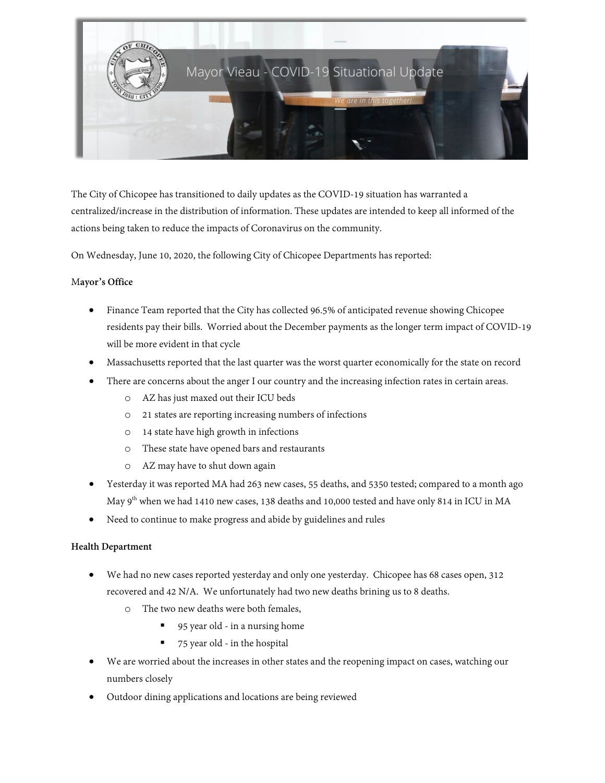

The City of Chicopee has transitioned to daily updates as the COVID-19 situation has warranted a centralized/increase in the distribution of information. These updates are intended to keep all informed of the actions being taken to reduce the impacts of Coronavirus on the community.

On Wednesday, June 10, 2020, the following City of Chicopee Departments has reported:

# M**ayor's Office**

- Finance Team reported that the City has collected 96.5% of anticipated revenue showing Chicopee residents pay their bills. Worried about the December payments as the longer term impact of COVID-19 will be more evident in that cycle
- Massachusetts reported that the last quarter was the worst quarter economically for the state on record
- There are concerns about the anger I our country and the increasing infection rates in certain areas.
	- o AZ has just maxed out their ICU beds
	- o 21 states are reporting increasing numbers of infections
	- o 14 state have high growth in infections
	- o These state have opened bars and restaurants
	- o AZ may have to shut down again
- Yesterday it was reported MA had 263 new cases, 55 deaths, and 5350 tested; compared to a month ago May 9<sup>th</sup> when we had 1410 new cases, 138 deaths and 10,000 tested and have only 814 in ICU in MA
- Need to continue to make progress and abide by guidelines and rules

# **Health Department**

- We had no new cases reported yesterday and only one yesterday. Chicopee has 68 cases open, 312 recovered and 42 N/A. We unfortunately had two new deaths brining us to 8 deaths.
	- o The two new deaths were both females,
		- 95 year old in a nursing home
		- 75 year old in the hospital
- We are worried about the increases in other states and the reopening impact on cases, watching our numbers closely
- Outdoor dining applications and locations are being reviewed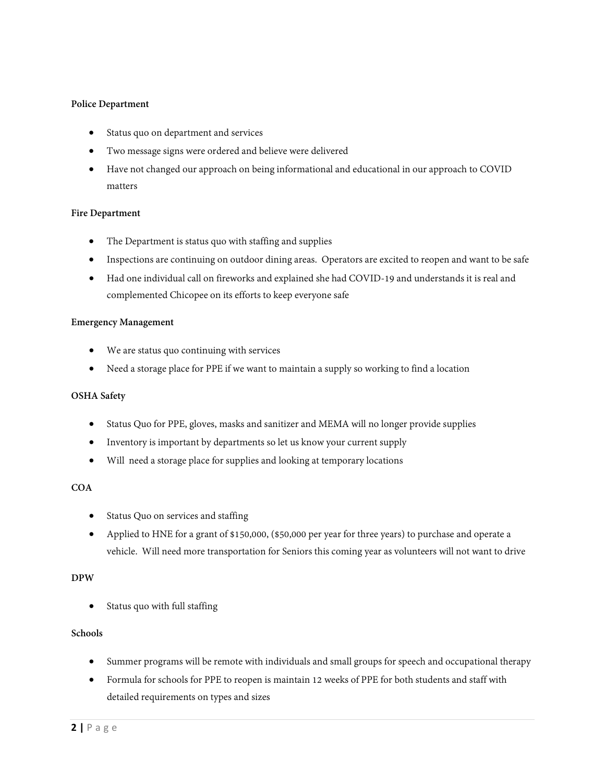## **Police Department**

- Status quo on department and services
- Two message signs were ordered and believe were delivered
- Have not changed our approach on being informational and educational in our approach to COVID matters

### **Fire Department**

- The Department is status quo with staffing and supplies
- Inspections are continuing on outdoor dining areas. Operators are excited to reopen and want to be safe
- Had one individual call on fireworks and explained she had COVID-19 and understands it is real and complemented Chicopee on its efforts to keep everyone safe

#### **Emergency Management**

- We are status quo continuing with services
- Need a storage place for PPE if we want to maintain a supply so working to find a location

#### **OSHA Safety**

- Status Quo for PPE, gloves, masks and sanitizer and MEMA will no longer provide supplies
- Inventory is important by departments so let us know your current supply
- Will need a storage place for supplies and looking at temporary locations

### **COA**

- Status Quo on services and staffing
- Applied to HNE for a grant of \$150,000, (\$50,000 per year for three years) to purchase and operate a vehicle. Will need more transportation for Seniors this coming year as volunteers will not want to drive

## **DPW**

Status quo with full staffing

## **Schools**

- Summer programs will be remote with individuals and small groups for speech and occupational therapy
- Formula for schools for PPE to reopen is maintain 12 weeks of PPE for both students and staff with detailed requirements on types and sizes